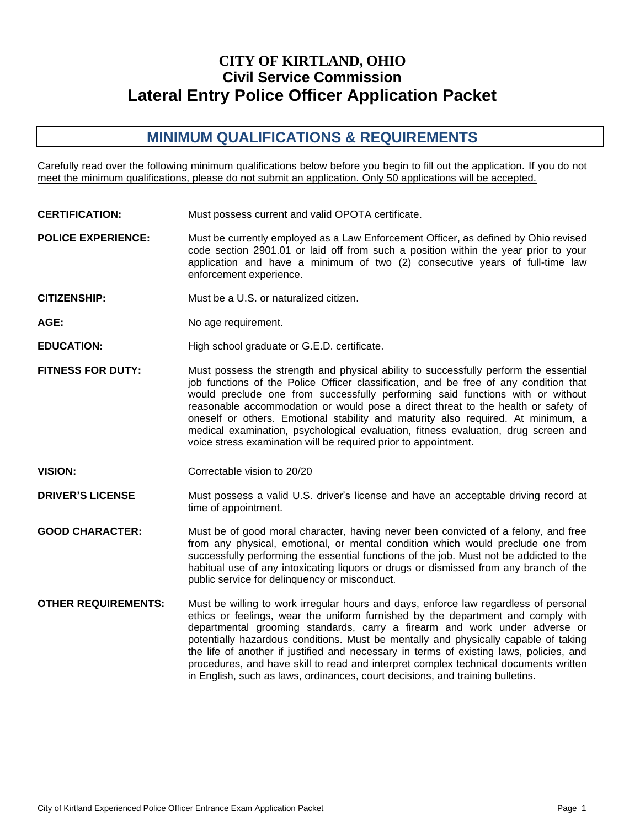# **CITY OF KIRTLAND, OHIO Civil Service Commission Lateral Entry Police Officer Application Packet**

# **MINIMUM QUALIFICATIONS & REQUIREMENTS**

Carefully read over the following minimum qualifications below before you begin to fill out the application. If you do not meet the minimum qualifications, please do not submit an application. Only 50 applications will be accepted.

- **CERTIFICATION:** Must possess current and valid OPOTA certificate.
- **POLICE EXPERIENCE:** Must be currently employed as a Law Enforcement Officer, as defined by Ohio revised code section 2901.01 or laid off from such a position within the year prior to your application and have a minimum of two (2) consecutive years of full-time law enforcement experience.
- **CITIZENSHIP:** Must be a U.S. or naturalized citizen.
- AGE: No age requirement.
- **EDUCATION:** High school graduate or G.E.D. certificate.
- **FITNESS FOR DUTY:** Must possess the strength and physical ability to successfully perform the essential job functions of the Police Officer classification, and be free of any condition that would preclude one from successfully performing said functions with or without reasonable accommodation or would pose a direct threat to the health or safety of oneself or others. Emotional stability and maturity also required. At minimum, a medical examination, psychological evaluation, fitness evaluation, drug screen and voice stress examination will be required prior to appointment.
- **VISION:** Correctable vision to 20/20

**DRIVER'S LICENSE** Must possess a valid U.S. driver's license and have an acceptable driving record at time of appointment.

- **GOOD CHARACTER:** Must be of good moral character, having never been convicted of a felony, and free from any physical, emotional, or mental condition which would preclude one from successfully performing the essential functions of the job. Must not be addicted to the habitual use of any intoxicating liquors or drugs or dismissed from any branch of the public service for delinquency or misconduct.
- **OTHER REQUIREMENTS:** Must be willing to work irregular hours and days, enforce law regardless of personal ethics or feelings, wear the uniform furnished by the department and comply with departmental grooming standards, carry a firearm and work under adverse or potentially hazardous conditions. Must be mentally and physically capable of taking the life of another if justified and necessary in terms of existing laws, policies, and procedures, and have skill to read and interpret complex technical documents written in English, such as laws, ordinances, court decisions, and training bulletins.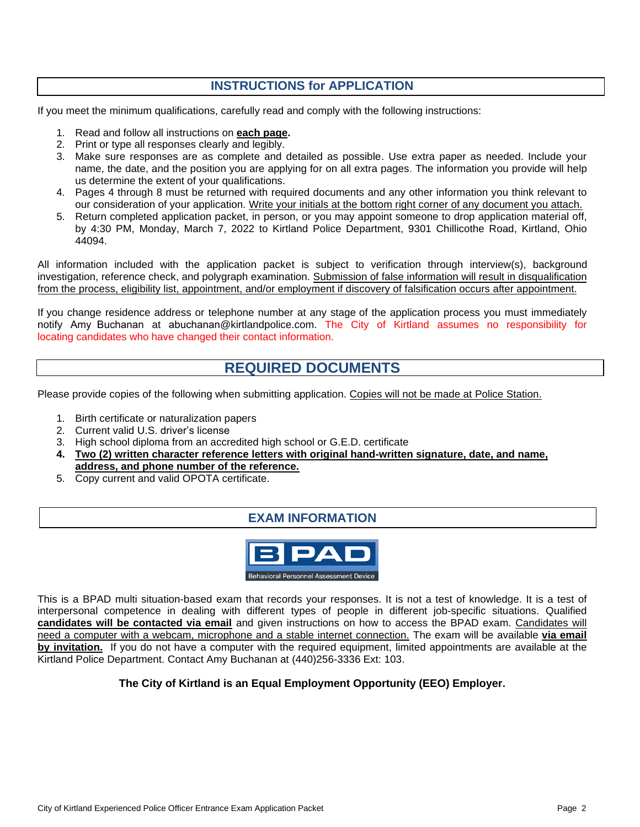## **INSTRUCTIONS for APPLICATION**

If you meet the minimum qualifications, carefully read and comply with the following instructions:

- 1. Read and follow all instructions on **each page.**
- 2. Print or type all responses clearly and legibly.
- 3. Make sure responses are as complete and detailed as possible. Use extra paper as needed. Include your name, the date, and the position you are applying for on all extra pages. The information you provide will help us determine the extent of your qualifications.
- 4. Pages 4 through 8 must be returned with required documents and any other information you think relevant to our consideration of your application. Write your initials at the bottom right corner of any document you attach.
- 5. Return completed application packet, in person, or you may appoint someone to drop application material off, by 4:30 PM, Monday, March 7, 2022 to Kirtland Police Department, 9301 Chillicothe Road, Kirtland, Ohio 44094.

All information included with the application packet is subject to verification through interview(s), background investigation, reference check, and polygraph examination. Submission of false information will result in disqualification from the process, eligibility list, appointment, and/or employment if discovery of falsification occurs after appointment.

If you change residence address or telephone number at any stage of the application process you must immediately notify Amy Buchanan at abuchanan@kirtlandpolice.com. The City of Kirtland assumes no responsibility for locating candidates who have changed their contact information.

## **REQUIRED DOCUMENTS**

Please provide copies of the following when submitting application. Copies will not be made at Police Station.

- 1. Birth certificate or naturalization papers
- 2. Current valid U.S. driver's license
- 3. High school diploma from an accredited high school or G.E.D. certificate
- **4. Two (2) written character reference letters with original hand-written signature, date, and name, address, and phone number of the reference.**
- 5. Copy current and valid OPOTA certificate.

### **EXAM INFORMATION**



This is a BPAD multi situation-based exam that records your responses. It is not a test of knowledge. It is a test of interpersonal competence in dealing with different types of people in different job-specific situations. Qualified **candidates will be contacted via email** and given instructions on how to access the BPAD exam. Candidates will need a computer with a webcam, microphone and a stable internet connection. The exam will be available **via email by invitation.** If you do not have a computer with the required equipment, limited appointments are available at the Kirtland Police Department. Contact Amy Buchanan at (440)256-3336 Ext: 103.

#### **The City of Kirtland is an Equal Employment Opportunity (EEO) Employer.**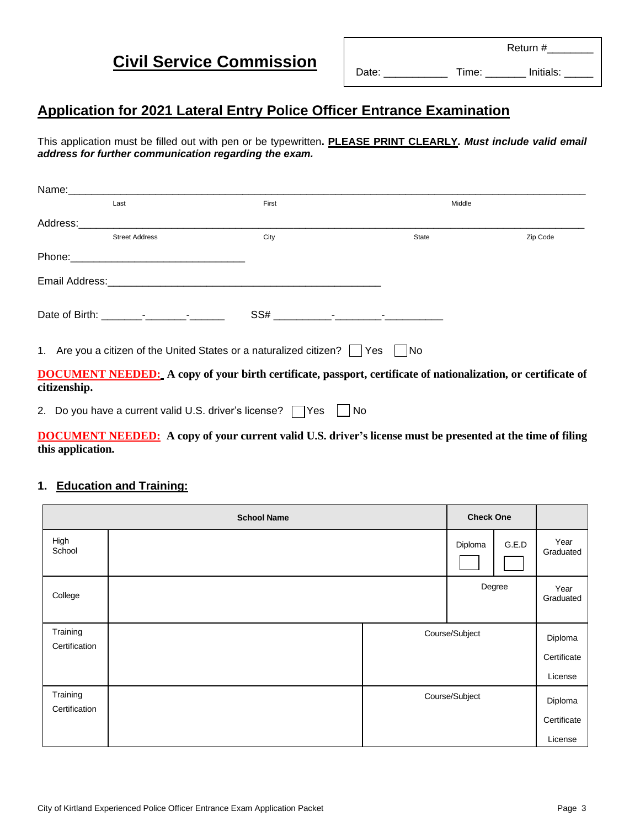**Civil Service Commission**

# **Application for 2021 Lateral Entry Police Officer Entrance Examination**

This application must be filled out with pen or be typewritten**. PLEASE PRINT CLEARLY***. Must include valid email address for further communication regarding the exam.*

|              | Last                                  | First | Middle                                                                                                                |          |
|--------------|---------------------------------------|-------|-----------------------------------------------------------------------------------------------------------------------|----------|
|              |                                       |       |                                                                                                                       |          |
|              | <b>Street Address</b>                 | City  | State                                                                                                                 | Zip Code |
|              |                                       |       |                                                                                                                       |          |
|              |                                       |       |                                                                                                                       |          |
|              | Date of Birth: The Contract of Birth: |       |                                                                                                                       |          |
|              |                                       |       | 1. Are you a citizen of the United States or a naturalized citizen?     Yes       No                                  |          |
| citizenship. |                                       |       | <b>DOCUMENT NEEDED:</b> A copy of your birth certificate, passport, certificate of nationalization, or certificate of |          |
|              |                                       |       |                                                                                                                       |          |

2. Do you have a current valid U.S. driver's license?  $\Box$  Yes  $\Box$  No

**DOCUMENT NEEDED: A copy of your current valid U.S. driver's license must be presented at the time of filing this application.**

### **1. Education and Training:**

| <b>School Name</b>        |  |  |                | <b>Check One</b> |                   |
|---------------------------|--|--|----------------|------------------|-------------------|
| High<br>School            |  |  | Diploma        | G.E.D            | Year<br>Graduated |
| College                   |  |  |                | Degree           | Year<br>Graduated |
| Training<br>Certification |  |  | Course/Subject | Diploma          |                   |
|                           |  |  |                |                  | Certificate       |
|                           |  |  |                |                  | License           |
| Training<br>Certification |  |  | Course/Subject |                  |                   |
|                           |  |  |                |                  | Certificate       |
|                           |  |  |                |                  | License           |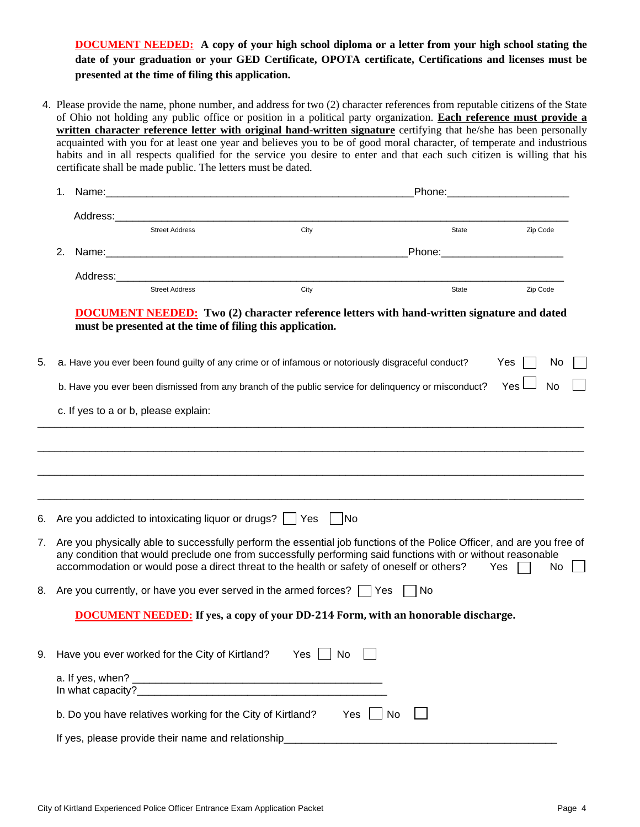**DOCUMENT NEEDED: A copy of your high school diploma or a letter from your high school stating the date of your graduation or your GED Certificate, OPOTA certificate, Certifications and licenses must be presented at the time of filing this application.**

4. Please provide the name, phone number, and address for two (2) character references from reputable citizens of the State of Ohio not holding any public office or position in a political party organization. **Each reference must provide a written character reference letter with original hand-written signature** certifying that he/she has been personally acquainted with you for at least one year and believes you to be of good moral character, of temperate and industrious habits and in all respects qualified for the service you desire to enter and that each such citizen is willing that his certificate shall be made public. The letters must be dated.

|    | 1. | Phone:<br>Name:<br><u> 1980 - John Stein, Amerikaansk politiker (</u> |                                                            |                                                                                                                                                                                                                                                                                                                                     |                                                                                                                                                                                                                                |           |  |
|----|----|-----------------------------------------------------------------------|------------------------------------------------------------|-------------------------------------------------------------------------------------------------------------------------------------------------------------------------------------------------------------------------------------------------------------------------------------------------------------------------------------|--------------------------------------------------------------------------------------------------------------------------------------------------------------------------------------------------------------------------------|-----------|--|
|    |    | Address:                                                              |                                                            |                                                                                                                                                                                                                                                                                                                                     |                                                                                                                                                                                                                                |           |  |
|    |    |                                                                       | <b>Street Address</b>                                      | City                                                                                                                                                                                                                                                                                                                                | State                                                                                                                                                                                                                          | Zip Code  |  |
|    | 2. |                                                                       |                                                            |                                                                                                                                                                                                                                                                                                                                     | Phone: the contract of the contract of the contract of the contract of the contract of the contract of the contract of the contract of the contract of the contract of the contract of the contract of the contract of the con |           |  |
|    |    |                                                                       |                                                            |                                                                                                                                                                                                                                                                                                                                     |                                                                                                                                                                                                                                |           |  |
|    |    |                                                                       | <b>Street Address</b>                                      | City                                                                                                                                                                                                                                                                                                                                | State                                                                                                                                                                                                                          | Zip Code  |  |
|    |    |                                                                       | must be presented at the time of filing this application.  | <b>DOCUMENT NEEDED:</b> Two (2) character reference letters with hand-written signature and dated                                                                                                                                                                                                                                   |                                                                                                                                                                                                                                |           |  |
| 5. |    |                                                                       |                                                            | a. Have you ever been found guilty of any crime or of infamous or notoriously disgraceful conduct?                                                                                                                                                                                                                                  |                                                                                                                                                                                                                                | Yes<br>No |  |
|    |    |                                                                       |                                                            | b. Have you ever been dismissed from any branch of the public service for delinquency or misconduct?                                                                                                                                                                                                                                |                                                                                                                                                                                                                                | Yes<br>No |  |
|    |    |                                                                       | c. If yes to a or b, please explain:                       |                                                                                                                                                                                                                                                                                                                                     |                                                                                                                                                                                                                                |           |  |
|    |    |                                                                       |                                                            |                                                                                                                                                                                                                                                                                                                                     |                                                                                                                                                                                                                                |           |  |
|    |    |                                                                       |                                                            |                                                                                                                                                                                                                                                                                                                                     |                                                                                                                                                                                                                                |           |  |
|    |    |                                                                       |                                                            |                                                                                                                                                                                                                                                                                                                                     |                                                                                                                                                                                                                                |           |  |
|    |    |                                                                       |                                                            |                                                                                                                                                                                                                                                                                                                                     |                                                                                                                                                                                                                                |           |  |
| 6. |    |                                                                       | Are you addicted to intoxicating liquor or drugs?   Yes    | -  No                                                                                                                                                                                                                                                                                                                               |                                                                                                                                                                                                                                |           |  |
| 7. |    |                                                                       |                                                            | Are you physically able to successfully perform the essential job functions of the Police Officer, and are you free of<br>any condition that would preclude one from successfully performing said functions with or without reasonable<br>accommodation or would pose a direct threat to the health or safety of oneself or others? |                                                                                                                                                                                                                                | Yes<br>No |  |
| 8. |    |                                                                       |                                                            | Are you currently, or have you ever served in the armed forces? $\vert \vert$ Yes                                                                                                                                                                                                                                                   | No                                                                                                                                                                                                                             |           |  |
|    |    |                                                                       |                                                            | <b>DOCUMENT NEEDED:</b> If yes, a copy of your DD-214 Form, with an honorable discharge.                                                                                                                                                                                                                                            |                                                                                                                                                                                                                                |           |  |
| 9. |    |                                                                       | Have you ever worked for the City of Kirtland?             | Yes No                                                                                                                                                                                                                                                                                                                              |                                                                                                                                                                                                                                |           |  |
|    |    |                                                                       |                                                            |                                                                                                                                                                                                                                                                                                                                     |                                                                                                                                                                                                                                |           |  |
|    |    |                                                                       | b. Do you have relatives working for the City of Kirtland? | Yes     No                                                                                                                                                                                                                                                                                                                          |                                                                                                                                                                                                                                |           |  |
|    |    |                                                                       | If yes, please provide their name and relationship         |                                                                                                                                                                                                                                                                                                                                     |                                                                                                                                                                                                                                |           |  |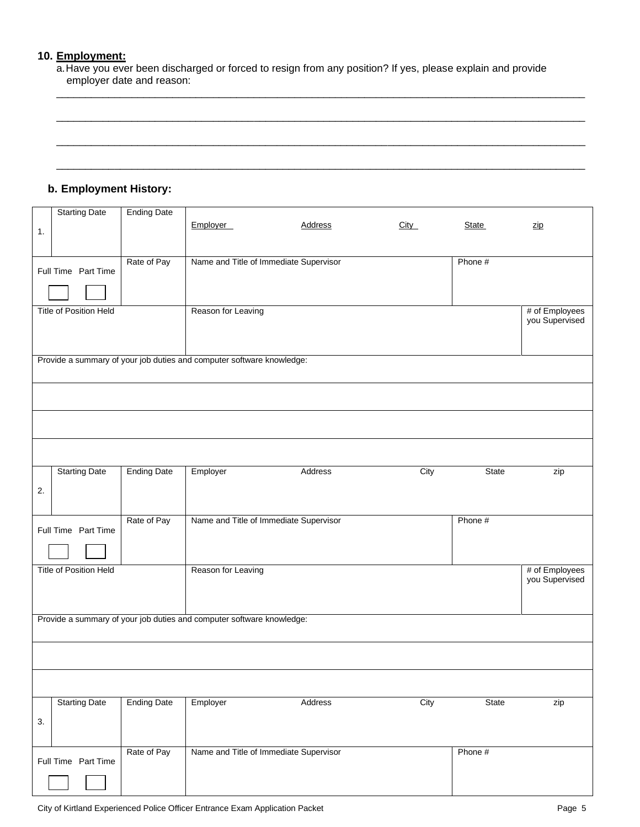#### **10. Employment:**

a.Have you ever been discharged or forced to resign from any position? If yes, please explain and provide employer date and reason:

 $\Box$ 

\_\_\_\_\_\_\_\_\_\_\_\_\_\_\_\_\_\_\_\_\_\_\_\_\_\_\_\_\_\_\_\_\_\_\_\_\_\_\_\_\_\_\_\_\_\_\_\_\_\_\_\_\_\_\_\_\_\_\_\_\_\_\_\_\_\_\_\_\_\_\_\_\_\_\_\_\_\_\_\_\_\_\_\_\_\_\_\_\_\_\_

\_\_\_\_\_\_\_\_\_\_\_\_\_\_\_\_\_\_\_\_\_\_\_\_\_\_\_\_\_\_\_\_\_\_\_\_\_\_\_\_\_\_\_\_\_\_\_\_\_\_\_\_\_\_\_\_\_\_\_\_\_\_\_\_\_\_\_\_\_\_\_\_\_\_\_\_\_\_\_\_\_\_\_\_\_\_\_\_\_\_\_

 $\Box$ 

### **b. Employment History:**

|    | <b>Starting Date</b>          | <b>Ending Date</b> |                                                                       |                                        |      |              |                |
|----|-------------------------------|--------------------|-----------------------------------------------------------------------|----------------------------------------|------|--------------|----------------|
|    |                               |                    | Employer                                                              | <b>Address</b>                         | City | <b>State</b> | <u>zip</u>     |
| 1. |                               |                    |                                                                       |                                        |      |              |                |
|    |                               |                    |                                                                       |                                        |      |              |                |
|    |                               | Rate of Pay        |                                                                       | Name and Title of Immediate Supervisor |      | Phone #      |                |
|    | Full Time Part Time           |                    |                                                                       |                                        |      |              |                |
|    |                               |                    |                                                                       |                                        |      |              |                |
|    |                               |                    |                                                                       |                                        |      |              |                |
|    |                               |                    |                                                                       |                                        |      |              |                |
|    | <b>Title of Position Held</b> |                    | Reason for Leaving                                                    |                                        |      |              | # of Employees |
|    |                               |                    |                                                                       |                                        |      |              | you Supervised |
|    |                               |                    |                                                                       |                                        |      |              |                |
|    |                               |                    |                                                                       |                                        |      |              |                |
|    |                               |                    | Provide a summary of your job duties and computer software knowledge: |                                        |      |              |                |
|    |                               |                    |                                                                       |                                        |      |              |                |
|    |                               |                    |                                                                       |                                        |      |              |                |
|    |                               |                    |                                                                       |                                        |      |              |                |
|    |                               |                    |                                                                       |                                        |      |              |                |
|    |                               |                    |                                                                       |                                        |      |              |                |
|    |                               |                    |                                                                       |                                        |      |              |                |
|    |                               |                    |                                                                       |                                        |      |              |                |
|    |                               |                    |                                                                       |                                        |      |              |                |
|    |                               |                    |                                                                       |                                        |      |              |                |
|    | <b>Starting Date</b>          | <b>Ending Date</b> | Employer                                                              | Address                                | City | State        | zip            |
|    |                               |                    |                                                                       |                                        |      |              |                |
| 2. |                               |                    |                                                                       |                                        |      |              |                |
|    |                               |                    |                                                                       |                                        |      |              |                |
|    |                               |                    |                                                                       |                                        |      |              |                |
|    |                               | Rate of Pay        |                                                                       | Name and Title of Immediate Supervisor |      | Phone #      |                |
|    | Full Time Part Time           |                    |                                                                       |                                        |      |              |                |
|    |                               |                    |                                                                       |                                        |      |              |                |
|    |                               |                    |                                                                       |                                        |      |              |                |
|    | <b>Title of Position Held</b> |                    | Reason for Leaving                                                    |                                        |      |              | # of Employees |
|    |                               |                    |                                                                       |                                        |      |              | you Supervised |
|    |                               |                    |                                                                       |                                        |      |              |                |
|    |                               |                    |                                                                       |                                        |      |              |                |
|    |                               |                    |                                                                       |                                        |      |              |                |
|    |                               |                    | Provide a summary of your job duties and computer software knowledge: |                                        |      |              |                |
|    |                               |                    |                                                                       |                                        |      |              |                |
|    |                               |                    |                                                                       |                                        |      |              |                |
|    |                               |                    |                                                                       |                                        |      |              |                |
|    |                               |                    |                                                                       |                                        |      |              |                |
|    |                               |                    |                                                                       |                                        |      |              |                |
|    |                               |                    |                                                                       |                                        |      |              |                |
|    | <b>Starting Date</b>          | <b>Ending Date</b> | Employer                                                              | Address                                | City | State        | zip            |
|    |                               |                    |                                                                       |                                        |      |              |                |
| 3. |                               |                    |                                                                       |                                        |      |              |                |
|    |                               |                    |                                                                       |                                        |      |              |                |
|    |                               |                    |                                                                       |                                        |      |              |                |
|    |                               | Rate of Pay        |                                                                       | Name and Title of Immediate Supervisor |      | Phone #      |                |
|    | Full Time Part Time           |                    |                                                                       |                                        |      |              |                |
|    |                               |                    |                                                                       |                                        |      |              |                |
|    |                               |                    |                                                                       |                                        |      |              |                |